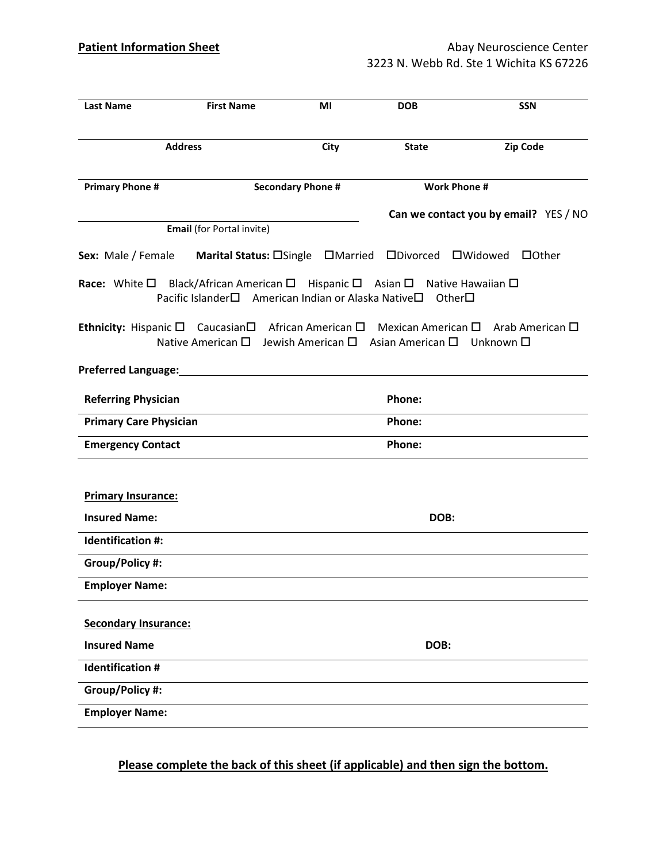| <b>Last Name</b>              | <b>First Name</b>                                                                                                                                                  | ΜI                       | <b>DOB</b>          | <b>SSN</b>                                                                                                                             |
|-------------------------------|--------------------------------------------------------------------------------------------------------------------------------------------------------------------|--------------------------|---------------------|----------------------------------------------------------------------------------------------------------------------------------------|
| <b>Address</b>                |                                                                                                                                                                    | City                     | <b>State</b>        | <b>Zip Code</b>                                                                                                                        |
| <b>Primary Phone #</b>        |                                                                                                                                                                    | <b>Secondary Phone #</b> | <b>Work Phone #</b> |                                                                                                                                        |
|                               | Email (for Portal invite)                                                                                                                                          |                          |                     | Can we contact you by email? YES / NO                                                                                                  |
| Sex: Male / Female            | Marital Status: OSingle OMarried ODivorced OWidowed                                                                                                                |                          |                     | $\Box$ Other                                                                                                                           |
|                               | <b>Race:</b> White $\Box$ Black/African American $\Box$ Hispanic $\Box$ Asian $\Box$ Native Hawaiian $\Box$<br>Pacific Islander□ American Indian or Alaska Native□ |                          | Other□              |                                                                                                                                        |
|                               | Native American $\square$ Jewish American $\square$ Asian American $\square$ Unknown $\square$                                                                     |                          |                     | <b>Ethnicity:</b> Hispanic $\square$ Caucasian $\square$ African American $\square$ Mexican American $\square$ Arab American $\square$ |
|                               | Preferred Language:<br><u>Preferred Language:</u>                                                                                                                  |                          |                     |                                                                                                                                        |
| <b>Referring Physician</b>    |                                                                                                                                                                    |                          | Phone:              |                                                                                                                                        |
| <b>Primary Care Physician</b> |                                                                                                                                                                    |                          | Phone:              |                                                                                                                                        |
| <b>Emergency Contact</b>      |                                                                                                                                                                    |                          | Phone:              |                                                                                                                                        |
|                               |                                                                                                                                                                    |                          |                     |                                                                                                                                        |
| <b>Primary Insurance:</b>     |                                                                                                                                                                    |                          |                     |                                                                                                                                        |
| <b>Insured Name:</b>          |                                                                                                                                                                    |                          | DOB:                |                                                                                                                                        |
| Identification #:             |                                                                                                                                                                    |                          |                     |                                                                                                                                        |
| Group/Policy #:               |                                                                                                                                                                    |                          |                     |                                                                                                                                        |
| <b>Employer Name:</b>         |                                                                                                                                                                    |                          |                     |                                                                                                                                        |
| <b>Secondary Insurance:</b>   |                                                                                                                                                                    |                          |                     |                                                                                                                                        |
| <b>Insured Name</b>           |                                                                                                                                                                    |                          | DOB:                |                                                                                                                                        |
| <b>Identification #</b>       |                                                                                                                                                                    |                          |                     |                                                                                                                                        |
| Group/Policy #:               |                                                                                                                                                                    |                          |                     |                                                                                                                                        |
| <b>Employer Name:</b>         |                                                                                                                                                                    |                          |                     |                                                                                                                                        |
|                               |                                                                                                                                                                    |                          |                     |                                                                                                                                        |

Please complete the back of this sheet (if applicable) and then sign the bottom.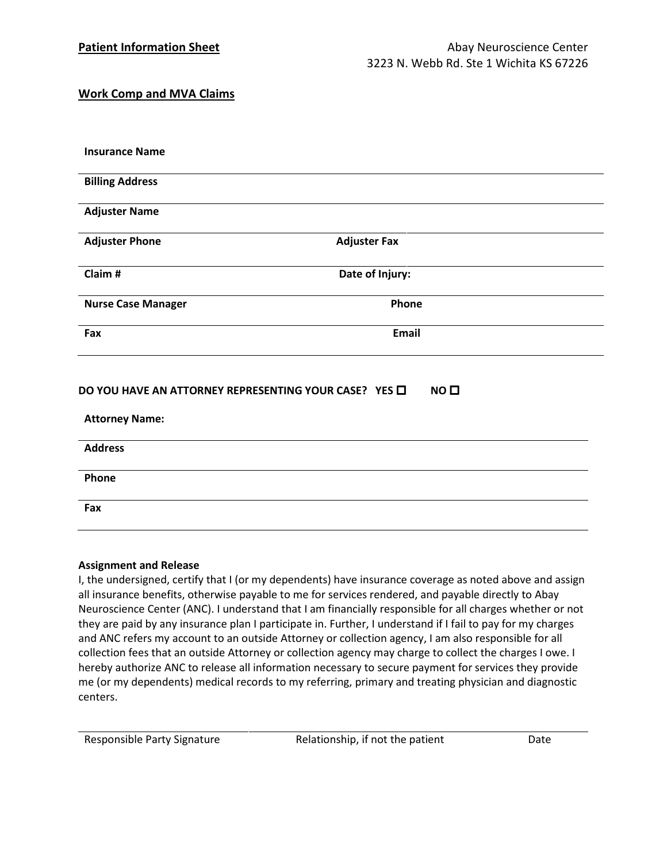## Work Comp and MVA Claims

| <b>Insurance Name</b>                                 |                     |
|-------------------------------------------------------|---------------------|
| <b>Billing Address</b>                                |                     |
| <b>Adjuster Name</b>                                  |                     |
| <b>Adjuster Phone</b>                                 | <b>Adjuster Fax</b> |
| Claim#                                                | Date of Injury:     |
| <b>Nurse Case Manager</b>                             | Phone               |
| Fax                                                   | <b>Email</b>        |
| DO YOU HAVE AN ATTORNEY REPRESENTING YOUR CASE? YES O | NO <sub>0</sub>     |
| <b>Attorney Name:</b>                                 |                     |
| <b>Address</b>                                        |                     |
| Phone                                                 |                     |
| Fax                                                   |                     |
|                                                       |                     |

#### Assignment and Release

I, the undersigned, certify that I (or my dependents) have insurance coverage as noted above and assign all insurance benefits, otherwise payable to me for services rendered, and payable directly to Abay Neuroscience Center (ANC). I understand that I am financially responsible for all charges whether or not they are paid by any insurance plan I participate in. Further, I understand if I fail to pay for my charges and ANC refers my account to an outside Attorney or collection agency, I am also responsible for all collection fees that an outside Attorney or collection agency may charge to collect the charges I owe. I hereby authorize ANC to release all information necessary to secure payment for services they provide me (or my dependents) medical records to my referring, primary and treating physician and diagnostic centers.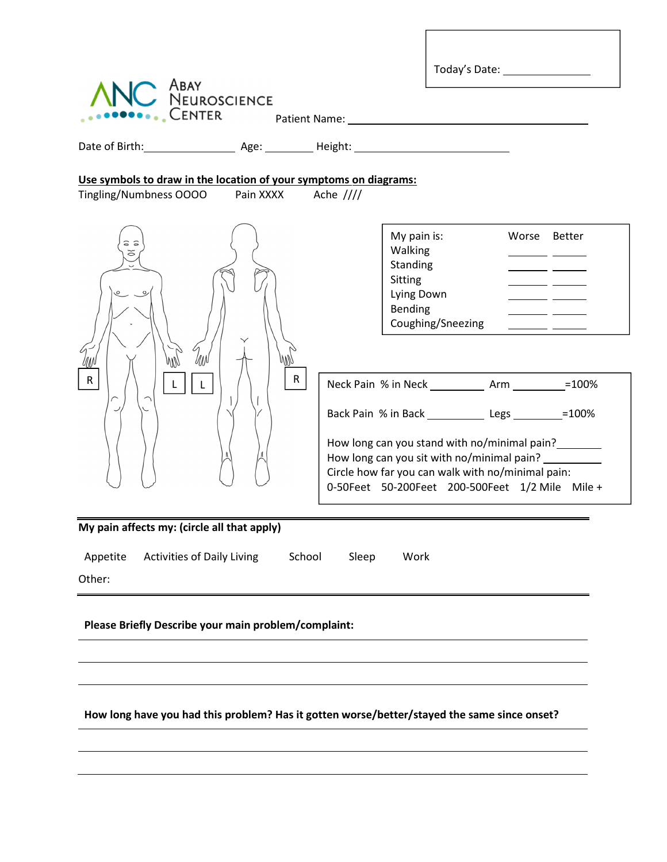| Tingling/Numbness OOOO<br>Pain XXXX | Use symbols to draw in the location of your symptoms on diagrams:<br>Ache $///$             |                                                                                                                                                                                                                                                                                                                                                                                                                                                                                                               |
|-------------------------------------|---------------------------------------------------------------------------------------------|---------------------------------------------------------------------------------------------------------------------------------------------------------------------------------------------------------------------------------------------------------------------------------------------------------------------------------------------------------------------------------------------------------------------------------------------------------------------------------------------------------------|
|                                     |                                                                                             |                                                                                                                                                                                                                                                                                                                                                                                                                                                                                                               |
|                                     | My pain is:<br>Walking<br>Standing<br>Sitting<br>Lying Down<br>Bending<br>Coughing/Sneezing | Worse Better<br><u> Albanya (Albanya Albanya)</u><br><u> a shekara ta 1999 a shekara ta 1999 a shekara ta 1999 a shekara ta 1999 a shekara ta 1999 a shekara ta 1999 a shekara ta 1999 a shekara ta 1999 a shekara ta 1999 a shekara ta 1999 a shekara ta 1999 a shekara ta 1999 a sh</u>                                                                                                                                                                                                                     |
|                                     |                                                                                             |                                                                                                                                                                                                                                                                                                                                                                                                                                                                                                               |
|                                     |                                                                                             |                                                                                                                                                                                                                                                                                                                                                                                                                                                                                                               |
|                                     | Sleep<br>Work                                                                               |                                                                                                                                                                                                                                                                                                                                                                                                                                                                                                               |
|                                     |                                                                                             |                                                                                                                                                                                                                                                                                                                                                                                                                                                                                                               |
|                                     |                                                                                             |                                                                                                                                                                                                                                                                                                                                                                                                                                                                                                               |
|                                     | MM<br>My pain affects my: (circle all that apply)<br>Activities of Daily Living             | $\mathsf{R}$<br>Neck Pain % in Neck ___________________________________=100%<br>Back Pain % in Back _____________ Legs __________=100%<br>How long can you stand with no/minimal pain?<br>How long can you sit with no/minimal pain?<br>Circle how far you can walk with no/minimal pain:<br>0-50Feet 50-200Feet 200-500Feet 1/2 Mile Mile +<br>School<br>Please Briefly Describe your main problem/complaint:<br>How long have you had this problem? Has it gotten worse/better/stayed the same since onset? |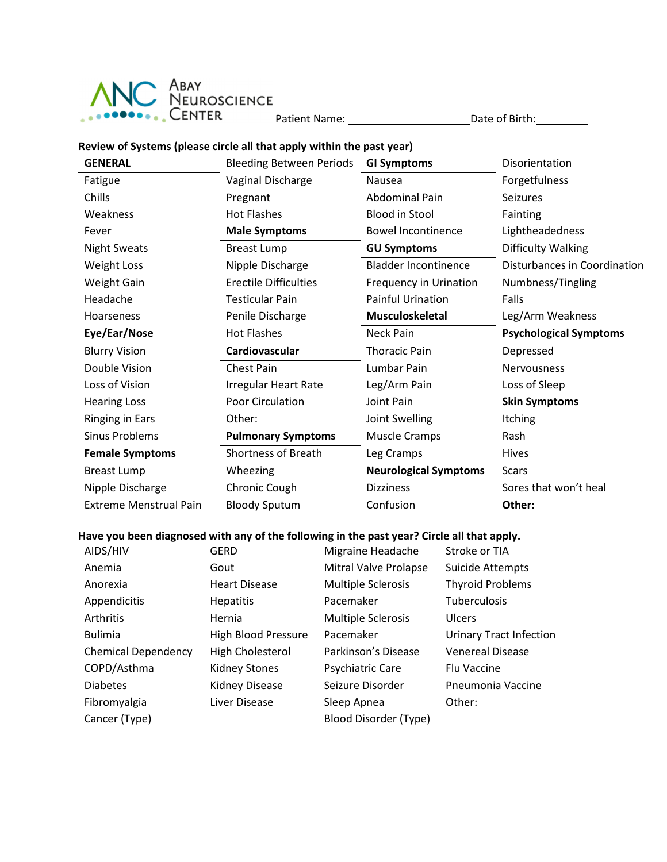

## Review of Systems (please circle all that apply within the past year)

| <b>GENERAL</b>                | <b>Bleeding Between Periods</b> | <b>GI Symptoms</b>           | Disorientation                |
|-------------------------------|---------------------------------|------------------------------|-------------------------------|
| Fatigue                       | Vaginal Discharge               | Nausea                       | Forgetfulness                 |
| Chills                        | Pregnant                        | <b>Abdominal Pain</b>        | <b>Seizures</b>               |
| Weakness                      | <b>Hot Flashes</b>              | <b>Blood in Stool</b>        | Fainting                      |
| Fever                         | <b>Male Symptoms</b>            | <b>Bowel Incontinence</b>    | Lightheadedness               |
| <b>Night Sweats</b>           | <b>Breast Lump</b>              | <b>GU Symptoms</b>           | Difficulty Walking            |
| <b>Weight Loss</b>            | Nipple Discharge                | <b>Bladder Incontinence</b>  | Disturbances in Coordination  |
| <b>Weight Gain</b>            | <b>Erectile Difficulties</b>    | Frequency in Urination       | Numbness/Tingling             |
| Headache                      | <b>Testicular Pain</b>          | <b>Painful Urination</b>     | Falls                         |
| Hoarseness                    | Penile Discharge                | <b>Musculoskeletal</b>       | Leg/Arm Weakness              |
| Eye/Ear/Nose                  | <b>Hot Flashes</b>              | <b>Neck Pain</b>             | <b>Psychological Symptoms</b> |
| <b>Blurry Vision</b>          | Cardiovascular                  | <b>Thoracic Pain</b>         | Depressed                     |
| Double Vision                 | <b>Chest Pain</b>               | Lumbar Pain                  | <b>Nervousness</b>            |
| Loss of Vision                | <b>Irregular Heart Rate</b>     | Leg/Arm Pain                 | Loss of Sleep                 |
| <b>Hearing Loss</b>           | <b>Poor Circulation</b>         | Joint Pain                   | <b>Skin Symptoms</b>          |
| <b>Ringing in Ears</b>        | Other:                          | Joint Swelling               | <b>Itching</b>                |
| <b>Sinus Problems</b>         | <b>Pulmonary Symptoms</b>       | <b>Muscle Cramps</b>         | Rash                          |
| <b>Female Symptoms</b>        | <b>Shortness of Breath</b>      | Leg Cramps                   | <b>Hives</b>                  |
| <b>Breast Lump</b>            | Wheezing                        | <b>Neurological Symptoms</b> | <b>Scars</b>                  |
| Nipple Discharge              | Chronic Cough                   | <b>Dizziness</b>             | Sores that won't heal         |
| <b>Extreme Menstrual Pain</b> | <b>Bloody Sputum</b>            | Confusion                    | Other:                        |

## Have you been diagnosed with any of the following in the past year? Circle all that apply.

| AIDS/HIV                   | <b>GERD</b>                | Migraine Headache         | Stroke or TIA                  |
|----------------------------|----------------------------|---------------------------|--------------------------------|
| Anemia                     | Gout                       | Mitral Valve Prolapse     | Suicide Attempts               |
| Anorexia                   | <b>Heart Disease</b>       | <b>Multiple Sclerosis</b> | <b>Thyroid Problems</b>        |
| Appendicitis               | <b>Hepatitis</b>           | Pacemaker                 | <b>Tuberculosis</b>            |
| Arthritis                  | Hernia                     | <b>Multiple Sclerosis</b> | <b>Ulcers</b>                  |
| <b>Bulimia</b>             | <b>High Blood Pressure</b> | Pacemaker                 | <b>Urinary Tract Infection</b> |
| <b>Chemical Dependency</b> | High Cholesterol           | Parkinson's Disease       | <b>Venereal Disease</b>        |
| COPD/Asthma                | Kidney Stones              | Psychiatric Care          | <b>Flu Vaccine</b>             |
| <b>Diabetes</b>            | Kidney Disease             | Seizure Disorder          | Pneumonia Vaccine              |
| Fibromyalgia               | Liver Disease              | Sleep Apnea               | Other:                         |
| Cancer (Type)              |                            | Blood Disorder (Type)     |                                |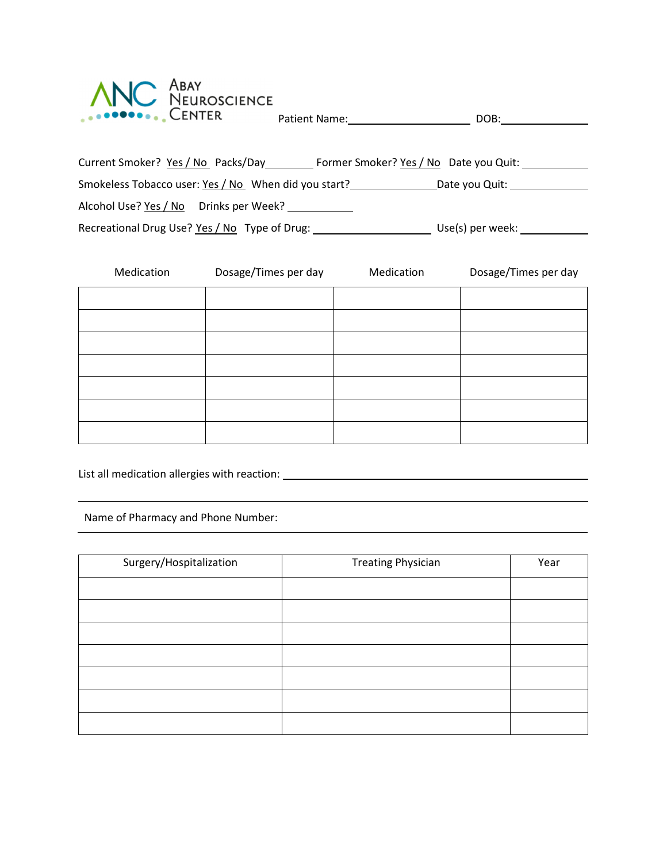

| Current Smoker? Yes / No Packs/Day<br>Former Smoker? Yes / No Date you Quit: |                  |  |  |  |  |  |
|------------------------------------------------------------------------------|------------------|--|--|--|--|--|
| Smokeless Tobacco user: Yes / No When did you start?                         | Date you Quit:   |  |  |  |  |  |
| Alcohol Use? Yes / No  Drinks per Week?                                      |                  |  |  |  |  |  |
| Recreational Drug Use? Yes / No Type of Drug:                                | Use(s) per week: |  |  |  |  |  |

| Medication | Dosage/Times per day | Medication | Dosage/Times per day |
|------------|----------------------|------------|----------------------|
|            |                      |            |                      |
|            |                      |            |                      |
|            |                      |            |                      |
|            |                      |            |                      |
|            |                      |            |                      |
|            |                      |            |                      |
|            |                      |            |                      |

List all medication allergies with reaction:

l

Name of Pharmacy and Phone Number:

| Surgery/Hospitalization | <b>Treating Physician</b> | Year |
|-------------------------|---------------------------|------|
|                         |                           |      |
|                         |                           |      |
|                         |                           |      |
|                         |                           |      |
|                         |                           |      |
|                         |                           |      |
|                         |                           |      |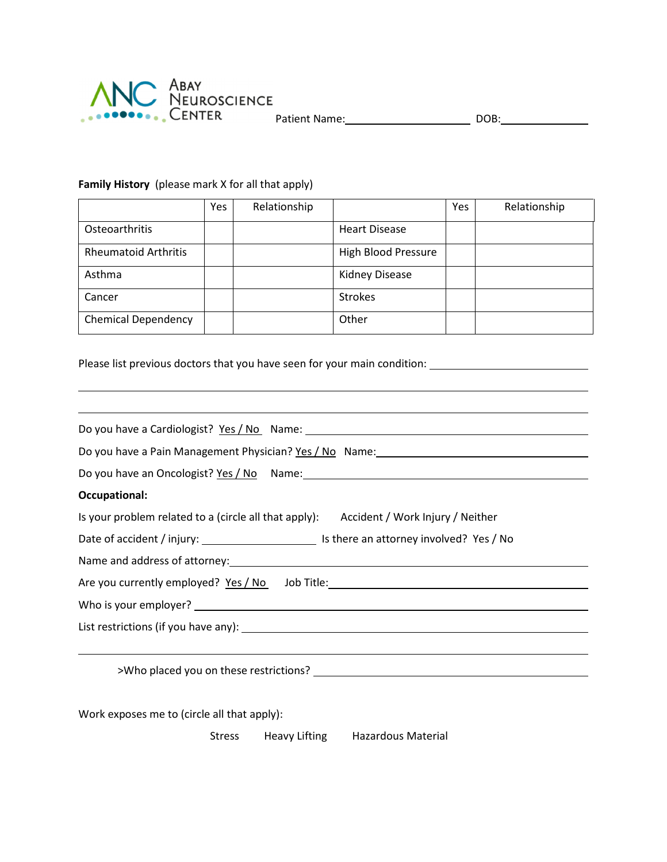

l

### Family History (please mark X for all that apply)

|                             | Yes | Relationship |                            | Yes | Relationship |
|-----------------------------|-----|--------------|----------------------------|-----|--------------|
| Osteoarthritis              |     |              | <b>Heart Disease</b>       |     |              |
| <b>Rheumatoid Arthritis</b> |     |              | <b>High Blood Pressure</b> |     |              |
| Asthma                      |     |              | <b>Kidney Disease</b>      |     |              |
| Cancer                      |     |              | <b>Strokes</b>             |     |              |
| <b>Chemical Dependency</b>  |     |              | Other                      |     |              |

Please list previous doctors that you have seen for your main condition:

| Do you have a Cardiologist? Yes / No Name: 2008 Manner 2014 12:00 Manner 2014 12:00 Manner 2014 12:00 Manner 20                                                                                                                |  |
|--------------------------------------------------------------------------------------------------------------------------------------------------------------------------------------------------------------------------------|--|
|                                                                                                                                                                                                                                |  |
|                                                                                                                                                                                                                                |  |
| <b>Occupational:</b>                                                                                                                                                                                                           |  |
| Is your problem related to a (circle all that apply): Accident / Work Injury / Neither                                                                                                                                         |  |
|                                                                                                                                                                                                                                |  |
|                                                                                                                                                                                                                                |  |
| Are you currently employed? Yes / No Job Title: ________________________________                                                                                                                                               |  |
|                                                                                                                                                                                                                                |  |
|                                                                                                                                                                                                                                |  |
|                                                                                                                                                                                                                                |  |
| >Who placed you on these restrictions? The material control of the state of the state of the state of the state of the state of the state of the state of the state of the state of the state of the state of the state of the |  |

Work exposes me to (circle all that apply):

Stress Heavy Lifting Hazardous Material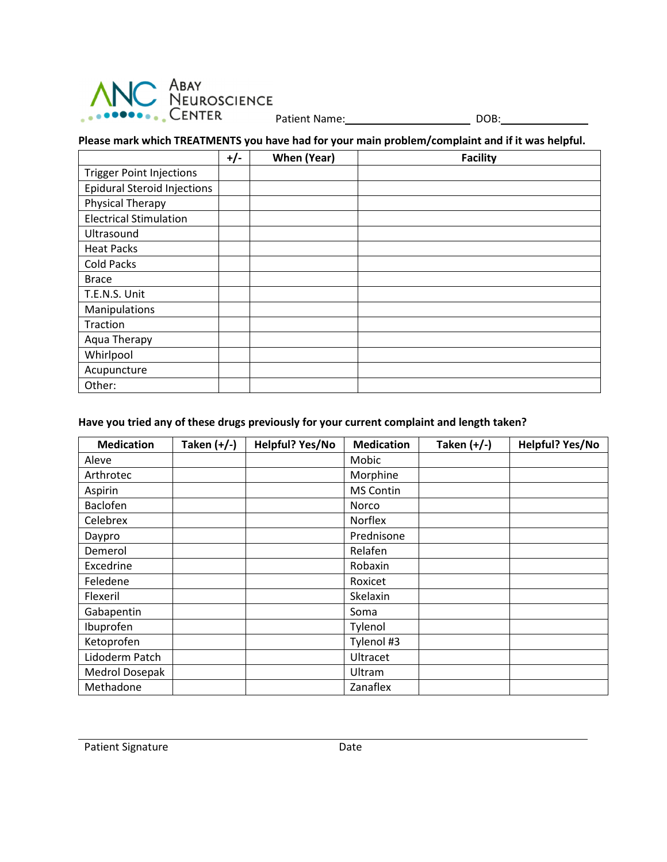

## Please mark which TREATMENTS you have had for your main problem/complaint and if it was helpful.

|                                    | $+/-$ | When (Year) | <b>Facility</b> |
|------------------------------------|-------|-------------|-----------------|
| <b>Trigger Point Injections</b>    |       |             |                 |
| <b>Epidural Steroid Injections</b> |       |             |                 |
| Physical Therapy                   |       |             |                 |
| <b>Electrical Stimulation</b>      |       |             |                 |
| Ultrasound                         |       |             |                 |
| <b>Heat Packs</b>                  |       |             |                 |
| Cold Packs                         |       |             |                 |
| <b>Brace</b>                       |       |             |                 |
| T.E.N.S. Unit                      |       |             |                 |
| Manipulations                      |       |             |                 |
| Traction                           |       |             |                 |
| Aqua Therapy                       |       |             |                 |
| Whirlpool                          |       |             |                 |
| Acupuncture                        |       |             |                 |
| Other:                             |       |             |                 |

## Have you tried any of these drugs previously for your current complaint and length taken?

| <b>Medication</b> | Taken $(+/-)$ | Helpful? Yes/No | <b>Medication</b> | Taken $(+/-)$ | Helpful? Yes/No |
|-------------------|---------------|-----------------|-------------------|---------------|-----------------|
| Aleve             |               |                 | Mobic             |               |                 |
| Arthrotec         |               |                 | Morphine          |               |                 |
| Aspirin           |               |                 | MS Contin         |               |                 |
| <b>Baclofen</b>   |               |                 | <b>Norco</b>      |               |                 |
| Celebrex          |               |                 | Norflex           |               |                 |
| Daypro            |               |                 | Prednisone        |               |                 |
| Demerol           |               |                 | Relafen           |               |                 |
| Excedrine         |               |                 | Robaxin           |               |                 |
| Feledene          |               |                 | Roxicet           |               |                 |
| Flexeril          |               |                 | Skelaxin          |               |                 |
| Gabapentin        |               |                 | Soma              |               |                 |
| Ibuprofen         |               |                 | Tylenol           |               |                 |
| Ketoprofen        |               |                 | Tylenol #3        |               |                 |
| Lidoderm Patch    |               |                 | Ultracet          |               |                 |
| Medrol Dosepak    |               |                 | Ultram            |               |                 |
| Methadone         |               |                 | Zanaflex          |               |                 |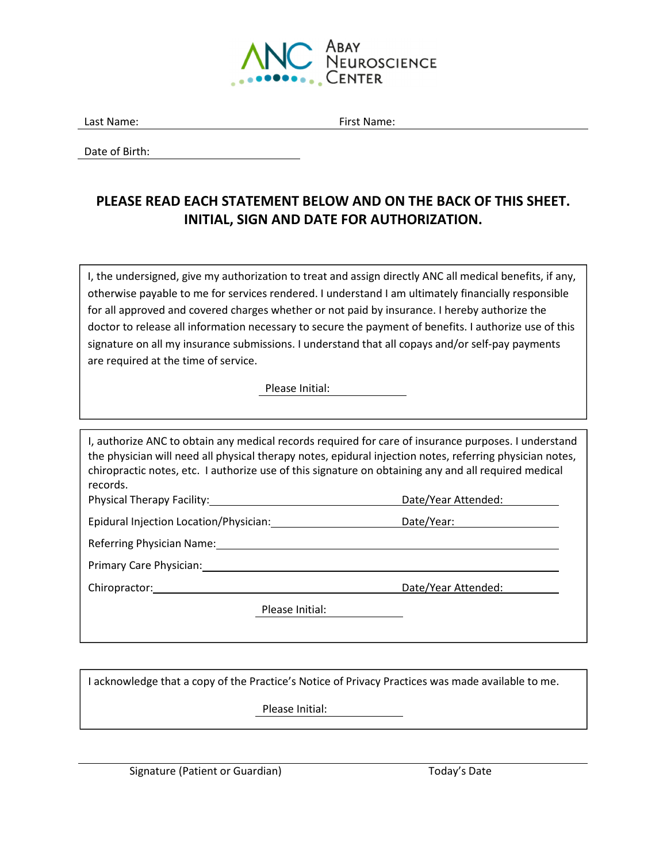

Last Name: The Contract of the Contract of the First Name:

Date of Birth:

## PLEASE READ EACH STATEMENT BELOW AND ON THE BACK OF THIS SHEET. INITIAL, SIGN AND DATE FOR AUTHORIZATION.

I, the undersigned, give my authorization to treat and assign directly ANC all medical benefits, if any, otherwise payable to me for services rendered. I understand I am ultimately financially responsible for all approved and covered charges whether or not paid by insurance. I hereby authorize the doctor to release all information necessary to secure the payment of benefits. I authorize use of this signature on all my insurance submissions. I understand that all copays and/or self-pay payments are required at the time of service.

Please Initial:

I, authorize ANC to obtain any medical records required for care of insurance purposes. I understand the physician will need all physical therapy notes, epidural injection notes, referring physician notes, chiropractic notes, etc. I authorize use of this signature on obtaining any and all required medical records.

Physical Therapy Facility: Date/Year Attended:

Epidural Injection Location/Physician: Date/Year:

Referring Physician Name:

Primary Care Physician:

Please Initial:

I acknowledge that a copy of the Practice's Notice of Privacy Practices was made available to me.

Please Initial:

Signature (Patient or Guardian) Today's Date

Chiropractor: Date/Year Attended: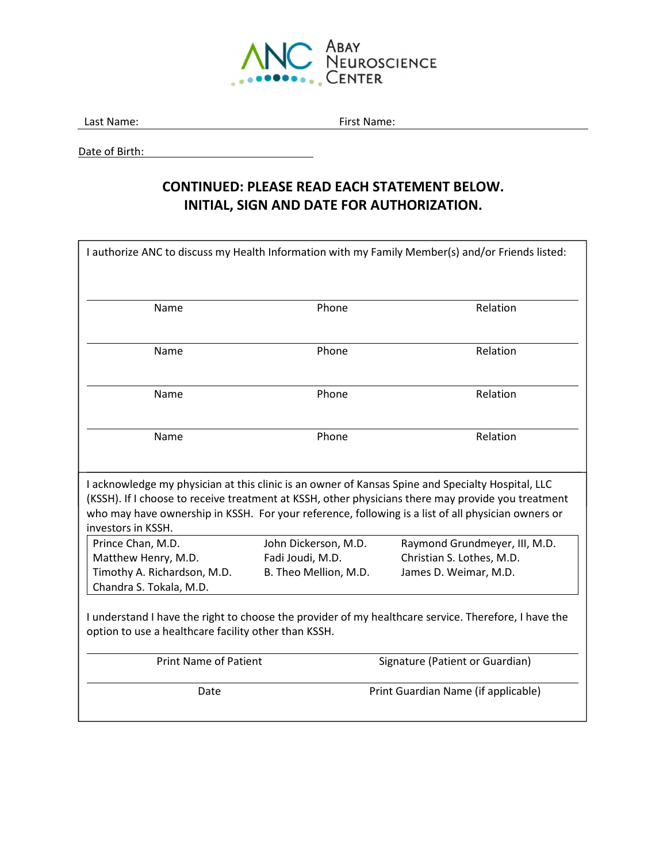

Last Name: The Contract of the Contract of the First Name:

Date of Birth:

## CONTINUED: PLEASE READ EACH STATEMENT BELOW. INITIAL, SIGN AND DATE FOR AUTHORIZATION.

| I authorize ANC to discuss my Health Information with my Family Member(s) and/or Friends listed:                                                                                                                                                                                                                                    |                                                                   |                                                                                     |  |  |
|-------------------------------------------------------------------------------------------------------------------------------------------------------------------------------------------------------------------------------------------------------------------------------------------------------------------------------------|-------------------------------------------------------------------|-------------------------------------------------------------------------------------|--|--|
| Name                                                                                                                                                                                                                                                                                                                                | Phone                                                             | Relation                                                                            |  |  |
| Name                                                                                                                                                                                                                                                                                                                                | Phone                                                             | Relation                                                                            |  |  |
| Name                                                                                                                                                                                                                                                                                                                                | Phone                                                             | Relation                                                                            |  |  |
| Name                                                                                                                                                                                                                                                                                                                                | Phone                                                             | Relation                                                                            |  |  |
| I acknowledge my physician at this clinic is an owner of Kansas Spine and Specialty Hospital, LLC<br>(KSSH). If I choose to receive treatment at KSSH, other physicians there may provide you treatment<br>who may have ownership in KSSH. For your reference, following is a list of all physician owners or<br>investors in KSSH. |                                                                   |                                                                                     |  |  |
| Prince Chan, M.D.<br>Matthew Henry, M.D.<br>Timothy A. Richardson, M.D.<br>Chandra S. Tokala, M.D.                                                                                                                                                                                                                                  | John Dickerson, M.D.<br>Fadi Joudi, M.D.<br>B. Theo Mellion, M.D. | Raymond Grundmeyer, III, M.D.<br>Christian S. Lothes, M.D.<br>James D. Weimar, M.D. |  |  |
| I understand I have the right to choose the provider of my healthcare service. Therefore, I have the<br>option to use a healthcare facility other than KSSH.                                                                                                                                                                        |                                                                   |                                                                                     |  |  |
| <b>Print Name of Patient</b>                                                                                                                                                                                                                                                                                                        |                                                                   | Signature (Patient or Guardian)                                                     |  |  |
| Date                                                                                                                                                                                                                                                                                                                                |                                                                   | Print Guardian Name (if applicable)                                                 |  |  |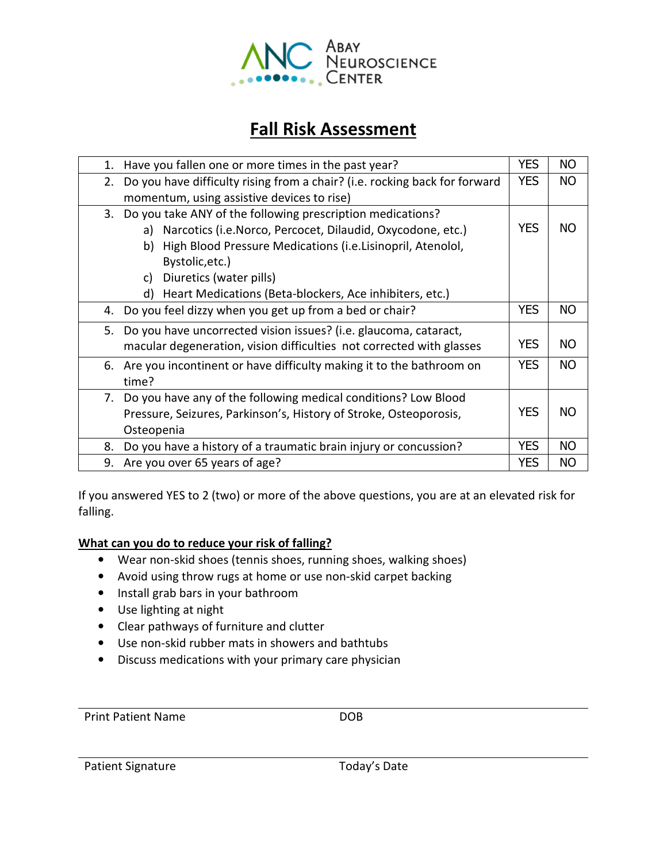

## Fall Risk Assessment

| 1. | Have you fallen one or more times in the past year?                        | <b>YES</b> | <b>NO</b> |
|----|----------------------------------------------------------------------------|------------|-----------|
| 2. | Do you have difficulty rising from a chair? (i.e. rocking back for forward | <b>YES</b> | <b>NO</b> |
|    | momentum, using assistive devices to rise)                                 |            |           |
|    | 3. Do you take ANY of the following prescription medications?              |            |           |
|    | Narcotics (i.e. Norco, Percocet, Dilaudid, Oxycodone, etc.)<br>a)          | <b>YES</b> | NO.       |
|    | High Blood Pressure Medications (i.e.Lisinopril, Atenolol,<br>b)           |            |           |
|    | Bystolic, etc.)                                                            |            |           |
|    | Diuretics (water pills)<br>C)                                              |            |           |
|    | Heart Medications (Beta-blockers, Ace inhibiters, etc.)<br>d)              |            |           |
| 4. | Do you feel dizzy when you get up from a bed or chair?                     | <b>YES</b> | <b>NO</b> |
| 5. | Do you have uncorrected vision issues? (i.e. glaucoma, cataract,           |            |           |
|    | macular degeneration, vision difficulties not corrected with glasses       | <b>YES</b> | <b>NO</b> |
|    | 6. Are you incontinent or have difficulty making it to the bathroom on     | <b>YES</b> | <b>NO</b> |
|    | time?                                                                      |            |           |
| 7. | Do you have any of the following medical conditions? Low Blood             |            |           |
|    | Pressure, Seizures, Parkinson's, History of Stroke, Osteoporosis,          |            | <b>NO</b> |
|    | Osteopenia                                                                 |            |           |
| 8. | Do you have a history of a traumatic brain injury or concussion?           | <b>YES</b> | <b>NO</b> |
| 9. | Are you over 65 years of age?                                              | <b>YES</b> | <b>NO</b> |

If you answered YES to 2 (two) or more of the above questions, you are at an elevated risk for falling.

## What can you do to reduce your risk of falling?

- Wear non-skid shoes (tennis shoes, running shoes, walking shoes)
- Avoid using throw rugs at home or use non-skid carpet backing
- Install grab bars in your bathroom
- Use lighting at night
- Clear pathways of furniture and clutter
- Use non-skid rubber mats in showers and bathtubs
- Discuss medications with your primary care physician

Print Patient Name DOB

Patient Signature Today's Date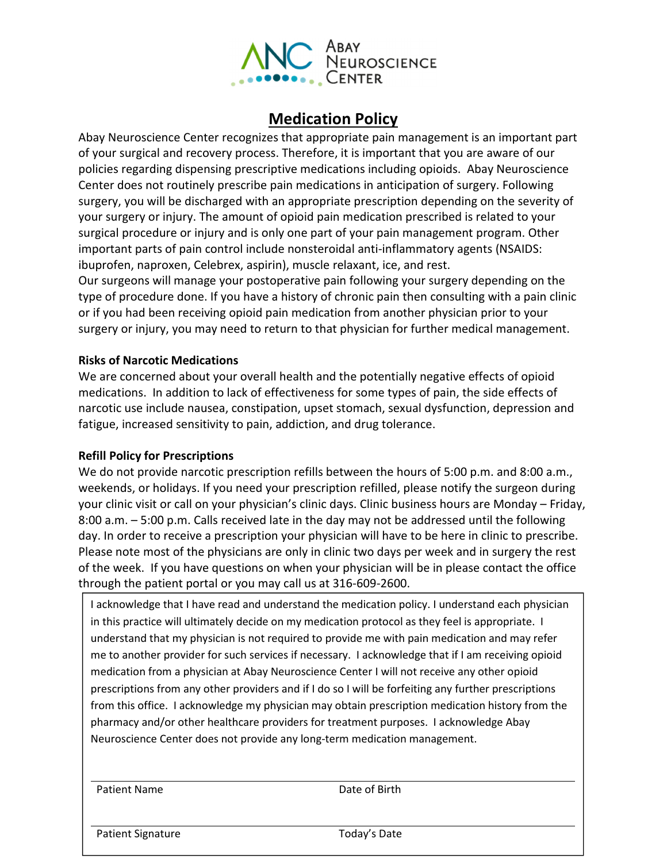

## Medication Policy

Abay Neuroscience Center recognizes that appropriate pain management is an important part of your surgical and recovery process. Therefore, it is important that you are aware of our policies regarding dispensing prescriptive medications including opioids. Abay Neuroscience Center does not routinely prescribe pain medications in anticipation of surgery. Following surgery, you will be discharged with an appropriate prescription depending on the severity of your surgery or injury. The amount of opioid pain medication prescribed is related to your surgical procedure or injury and is only one part of your pain management program. Other important parts of pain control include nonsteroidal anti-inflammatory agents (NSAIDS: ibuprofen, naproxen, Celebrex, aspirin), muscle relaxant, ice, and rest.

Our surgeons will manage your postoperative pain following your surgery depending on the type of procedure done. If you have a history of chronic pain then consulting with a pain clinic or if you had been receiving opioid pain medication from another physician prior to your surgery or injury, you may need to return to that physician for further medical management.

## Risks of Narcotic Medications

We are concerned about your overall health and the potentially negative effects of opioid medications. In addition to lack of effectiveness for some types of pain, the side effects of narcotic use include nausea, constipation, upset stomach, sexual dysfunction, depression and fatigue, increased sensitivity to pain, addiction, and drug tolerance.

## Refill Policy for Prescriptions

We do not provide narcotic prescription refills between the hours of 5:00 p.m. and 8:00 a.m., weekends, or holidays. If you need your prescription refilled, please notify the surgeon during your clinic visit or call on your physician's clinic days. Clinic business hours are Monday – Friday, 8:00 a.m. – 5:00 p.m. Calls received late in the day may not be addressed until the following day. In order to receive a prescription your physician will have to be here in clinic to prescribe. Please note most of the physicians are only in clinic two days per week and in surgery the rest of the week. If you have questions on when your physician will be in please contact the office through the patient portal or you may call us at 316-609-2600.

I acknowledge that I have read and understand the medication policy. I understand each physician in this practice will ultimately decide on my medication protocol as they feel is appropriate. I understand that my physician is not required to provide me with pain medication and may refer me to another provider for such services if necessary. I acknowledge that if I am receiving opioid medication from a physician at Abay Neuroscience Center I will not receive any other opioid prescriptions from any other providers and if I do so I will be forfeiting any further prescriptions from this office. I acknowledge my physician may obtain prescription medication history from the pharmacy and/or other healthcare providers for treatment purposes. I acknowledge Abay Neuroscience Center does not provide any long-term medication management.

Patient Name Date of Birth

Patient Signature Today's Date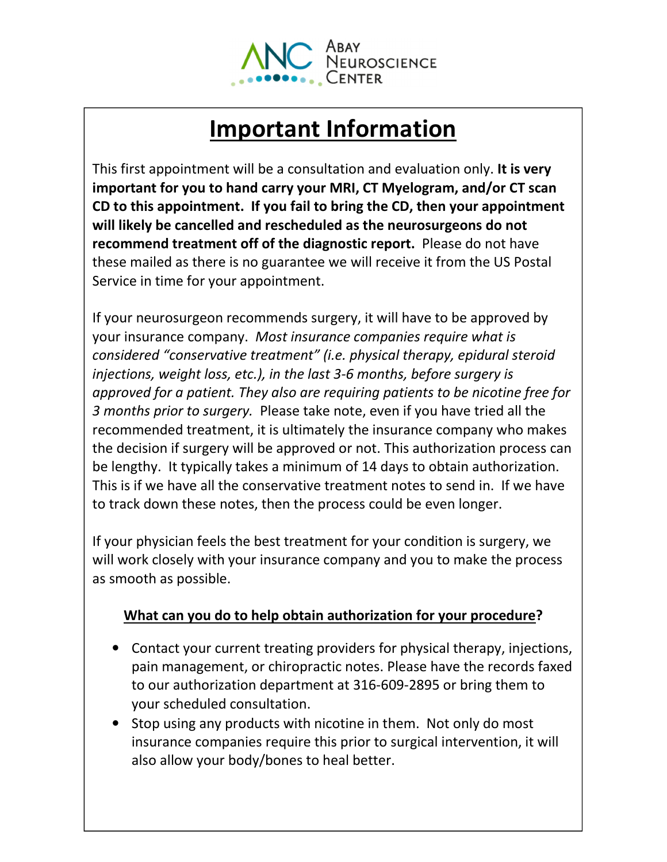

# Important Information

This first appointment will be a consultation and evaluation only. It is very important for you to hand carry your MRI, CT Myelogram, and/or CT scan CD to this appointment. If you fail to bring the CD, then your appointment will likely be cancelled and rescheduled as the neurosurgeons do not recommend treatment off of the diagnostic report. Please do not have these mailed as there is no guarantee we will receive it from the US Postal Service in time for your appointment.

If your neurosurgeon recommends surgery, it will have to be approved by your insurance company. Most insurance companies require what is considered "conservative treatment" (i.e. physical therapy, epidural steroid injections, weight loss, etc.), in the last 3-6 months, before surgery is approved for a patient. They also are requiring patients to be nicotine free for 3 months prior to surgery. Please take note, even if you have tried all the recommended treatment, it is ultimately the insurance company who makes the decision if surgery will be approved or not. This authorization process can be lengthy. It typically takes a minimum of 14 days to obtain authorization. This is if we have all the conservative treatment notes to send in. If we have to track down these notes, then the process could be even longer.

If your physician feels the best treatment for your condition is surgery, we will work closely with your insurance company and you to make the process as smooth as possible.

## What can you do to help obtain authorization for your procedure?

- Contact your current treating providers for physical therapy, injections, pain management, or chiropractic notes. Please have the records faxed to our authorization department at 316-609-2895 or bring them to your scheduled consultation.
- Stop using any products with nicotine in them. Not only do most insurance companies require this prior to surgical intervention, it will also allow your body/bones to heal better.